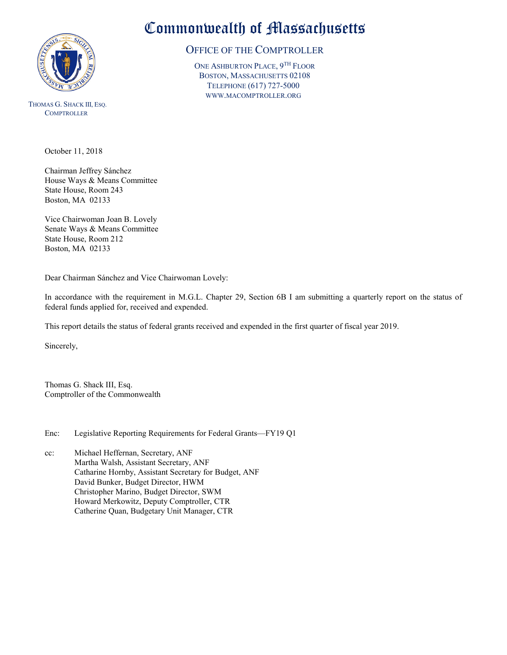

THOMAS G. SHACK III, ESQ. **COMPTROLLER** 

October 11, 2018

Chairman Jeffrey Sánchez House Ways & Means Committee State House, Room 243 Boston, MA 02133

Vice Chairwoman Joan B. Lovely Senate Ways & Means Committee State House, Room 212 Boston, MA 02133

Dear Chairman Sánchez and Vice Chairwoman Lovely:

In accordance with the requirement in M.G.L. Chapter 29, Section 6B I am submitting a quarterly report on the status of federal funds applied for, received and expended.

This report details the status of federal grants received and expended in the first quarter of fiscal year 2019.

Sincerely,

Thomas G. Shack III, Esq. Comptroller of the Commonwealth

Enc: Legislative Reporting Requirements for Federal Grants—FY19 Q1

cc: Michael Heffernan, Secretary, ANF Martha Walsh, Assistant Secretary, ANF Catharine Hornby, Assistant Secretary for Budget, ANF David Bunker, Budget Director, HWM Christopher Marino, Budget Director, SWM Howard Merkowitz, Deputy Comptroller, CTR Catherine Quan, Budgetary Unit Manager, CTR

## Commonwealth of Massachusetts

## OFFICE OF THE COMPTROLLER

ONE ASHBURTON PLACE, 9TH FLOOR BOSTON, MASSACHUSETTS 02108 TELEPHONE (617) 727-5000 WWW.MACOMPTROLLER.ORG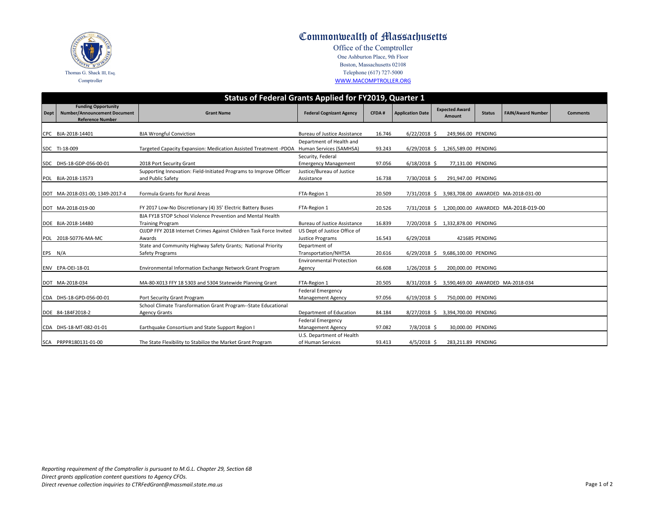| <b>Status</b> | <b>FAIN/Award Number</b> | <b>Comments</b> |
|---------------|--------------------------|-----------------|
| <b>NDING</b>  |                          |                 |
| NDING         |                          |                 |
| NDING         |                          |                 |
| NDING         |                          |                 |
|               | VARDED MA-2018-031-00    |                 |
|               | VARDED MA-2018-019-00    |                 |
| NDING         |                          |                 |
| NDING         |                          |                 |
| NDING         |                          |                 |
| NDING         |                          |                 |
|               | VARDED MA-2018-034       |                 |
| NDING         |                          |                 |
| NDING         |                          |                 |
| NDING         |                          |                 |
| NDING         |                          |                 |

| <b>Status of Federal Grants Applied for FY2019, Quarter 1</b> |                                                                                              |                                                                                          |                                                      |              |                         |  |                                        |                |                                                  |
|---------------------------------------------------------------|----------------------------------------------------------------------------------------------|------------------------------------------------------------------------------------------|------------------------------------------------------|--------------|-------------------------|--|----------------------------------------|----------------|--------------------------------------------------|
| <b>Dept</b>                                                   | <b>Funding Opportunity</b><br><b>Number/Announcement Document</b><br><b>Reference Number</b> | <b>Grant Name</b>                                                                        | <b>Federal Cognizant Agency</b>                      | <b>CFDA#</b> | <b>Application Date</b> |  | <b>Expected Award</b><br><b>Amount</b> | <b>Status</b>  | <b>FAIN/Award Numbe</b>                          |
|                                                               |                                                                                              |                                                                                          |                                                      |              |                         |  |                                        |                |                                                  |
|                                                               | CPC BJA-2018-14401                                                                           | <b>BJA Wrongful Conviction</b>                                                           | <b>Bureau of Justice Assistance</b>                  | 16.746       | $6/22/2018$ \$          |  | 249,966.00 PENDING                     |                |                                                  |
|                                                               | SDC TI-18-009                                                                                | Targeted Capacity Expansion: Medication Assisted Treatment -PDOA Human Services (SAMHSA) | Department of Health and                             | 93.243       | $6/29/2018$ \$          |  | 1,265,589.00 PENDING                   |                |                                                  |
|                                                               | SDC DHS-18-GDP-056-00-01                                                                     | 2018 Port Security Grant                                                                 | Security, Federal<br><b>Emergency Management</b>     | 97.056       | $6/18/2018$ \$          |  | 77,131.00 PENDING                      |                |                                                  |
|                                                               | POL BJA-2018-13573                                                                           | Supporting Innovation: Field-Initiated Programs to Improve Officer<br>and Public Safety  | Justice/Bureau of Justice<br>Assistance              | 16.738       | 7/30/2018 \$            |  | 291,947.00 PENDING                     |                |                                                  |
|                                                               | DOT MA-2018-031-00; 1349-2017-4                                                              | Formula Grants for Rural Areas                                                           | FTA-Region 1                                         | 20.509       |                         |  |                                        |                | 7/31/2018 \$ 3,983,708.00 AWARDED MA-2018-031-00 |
|                                                               | DOT MA-2018-019-00                                                                           | FY 2017 Low-No Discretionary (4) 35' Electric Battery Buses                              | FTA-Region 1                                         | 20.526       | 7/31/2018 \$            |  |                                        |                | 1,200,000.00 AWARDED MA-2018-019-00              |
|                                                               | DOE BJA-2018-14480                                                                           | BJA FY18 STOP School Violence Prevention and Mental Health<br><b>Training Program</b>    | <b>Bureau of Justice Assistance</b>                  | 16.839       | 7/20/2018 \$            |  | 1,332,878.00 PENDING                   |                |                                                  |
|                                                               | POL 2018-50776-MA-MC                                                                         | OJJDP FFY 2018 Internet Crimes Against Children Task Force Invited<br>Awards             | US Dept of Justice Office of<br>Justice Programs     | 16.543       | 6/29/2018               |  |                                        | 421685 PENDING |                                                  |
| EPS N/A                                                       |                                                                                              | State and Community Highway Safety Grants; National Priority<br>Safety Programs          | Department of<br>Transportation/NHTSA                | 20.616       | $6/29/2018$ \$          |  | 9,686,100.00 PENDING                   |                |                                                  |
|                                                               | ENV EPA-OEI-18-01                                                                            | Environmental Information Exchange Network Grant Program                                 | <b>Environmental Protection</b><br>Agency            | 66.608       | $1/26/2018$ \$          |  | 200,000.00 PENDING                     |                |                                                  |
|                                                               | DOT MA-2018-034                                                                              | MA-80-X013 FFY 18 5303 and 5304 Statewide Planning Grant                                 | FTA-Region 1                                         | 20.505       | $8/31/2018$ \$          |  |                                        |                | 3,590,469.00 AWARDED MA-2018-034                 |
|                                                               | CDA DHS-18-GPD-056-00-01                                                                     | Port Security Grant Program                                                              | <b>Federal Emergency</b><br><b>Management Agency</b> | 97.056       | $6/19/2018$ \$          |  | 750,000.00 PENDING                     |                |                                                  |
|                                                               | DOE 84-184F2018-2                                                                            | School Climate Transformation Grant Program--State Educational<br><b>Agency Grants</b>   | Department of Education                              | 84.184       | $8/27/2018$ \$          |  | 3,394,700.00 PENDING                   |                |                                                  |
|                                                               | CDA DHS-18-MT-082-01-01                                                                      | Earthquake Consortium and State Support Region I                                         | <b>Federal Emergency</b><br><b>Management Agency</b> | 97.082       | 7/8/2018 \$             |  | 30,000.00 PENDING                      |                |                                                  |
|                                                               | SCA PRPPR180131-01-00                                                                        | The State Flexibility to Stabilize the Market Grant Program                              | U.S. Department of Health<br>of Human Services       | 93.413       | $4/5/2018$ \$           |  | 283,211.89 PENDING                     |                |                                                  |





Office of the Comptroller One Ashburton Place, 9th Floor Boston, Massachusetts 02108 Telephone (617) 727-5000 [W](http://www.macomptroller.org/)WW.MACOMPTROLLER.ORG

*Reporting requirement of the Comptroller is pursuant to M.G.L. Chapter 29, Section 6B Direct grants application content questions to Agency CFOs. Direct revenue collection inquiries to CTRFedGrant@massmail.state.ma.us* Page 1 of 2